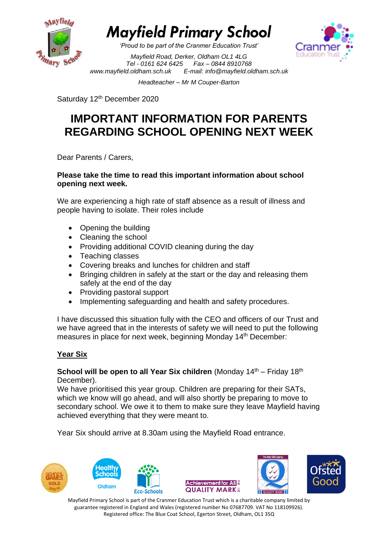

*'Proud to be part of the Cranmer Education Trust'*



*Mayfield Road, Derker, Oldham OL1 4LG Tel - 0161 624 6425 Fax – 0844 8910768 [www.mayfield.oldham.sch.uk](http://www.mayfield.oldham.sch.uk/) E-mail: [info@mayfield.oldham.sch.uk](mailto:info@mayfield.oldham.sch.uk)*

*Headteacher – Mr M Couper-Barton* 

Saturday 12<sup>th</sup> December 2020

## **IMPORTANT INFORMATION FOR PARENTS REGARDING SCHOOL OPENING NEXT WEEK**

Dear Parents / Carers,

#### **Please take the time to read this important information about school opening next week.**

We are experiencing a high rate of staff absence as a result of illness and people having to isolate. Their roles include

- Opening the building
- Cleaning the school
- Providing additional COVID cleaning during the day
- Teaching classes
- Covering breaks and lunches for children and staff
- Bringing children in safely at the start or the day and releasing them safely at the end of the day
- Providing pastoral support
- Implementing safeguarding and health and safety procedures.

I have discussed this situation fully with the CEO and officers of our Trust and we have agreed that in the interests of safety we will need to put the following measures in place for next week, beginning Monday 14<sup>th</sup> December:

## **Year Six**

#### **School will be open to all Year Six children** (Monday 14<sup>th</sup> – Friday 18<sup>th</sup> December).

We have prioritised this year group. Children are preparing for their SATs, which we know will go ahead, and will also shortly be preparing to move to secondary school. We owe it to them to make sure they leave Mayfield having achieved everything that they were meant to.

Year Six should arrive at 8.30am using the Mayfield Road entrance.

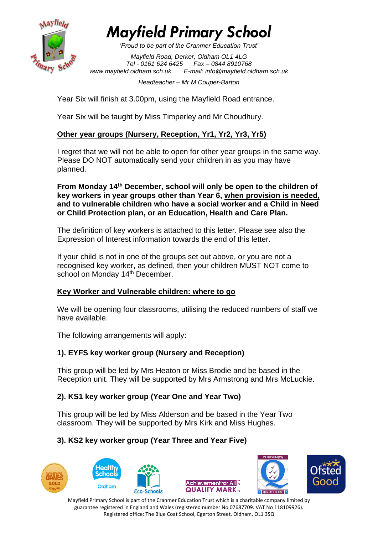

*'Proud to be part of the Cranmer Education Trust'*

*Mayfield Road, Derker, Oldham OL1 4LG Tel - 0161 624 6425 Fax – 0844 8910768 [www.mayfield.oldham.sch.uk](http://www.mayfield.oldham.sch.uk/) E-mail: [info@mayfield.oldham.sch.uk](mailto:info@mayfield.oldham.sch.uk)*

#### *Headteacher – Mr M Couper-Barton*

Year Six will finish at 3.00pm, using the Mayfield Road entrance.

Year Six will be taught by Miss Timperley and Mr Choudhury.

## **Other year groups (Nursery, Reception, Yr1, Yr2, Yr3, Yr5)**

I regret that we will not be able to open for other year groups in the same way. Please DO NOT automatically send your children in as you may have planned.

**From Monday 14th December, school will only be open to the children of key workers in year groups other than Year 6, when provision is needed, and to vulnerable children who have a social worker and a Child in Need or Child Protection plan, or an Education, Health and Care Plan.**

The definition of key workers is attached to this letter. Please see also the Expression of Interest information towards the end of this letter.

If your child is not in one of the groups set out above, or you are not a recognised key worker, as defined, then your children MUST NOT come to school on Monday 14<sup>th</sup> December.

## **Key Worker and Vulnerable children: where to go**

We will be opening four classrooms, utilising the reduced numbers of staff we have available.

The following arrangements will apply:

## **1). EYFS key worker group (Nursery and Reception)**

This group will be led by Mrs Heaton or Miss Brodie and be based in the Reception unit. They will be supported by Mrs Armstrong and Mrs McLuckie.

## **2). KS1 key worker group (Year One and Year Two)**

This group will be led by Miss Alderson and be based in the Year Two classroom. They will be supported by Mrs Kirk and Miss Hughes.

## **3). KS2 key worker group (Year Three and Year Five)**







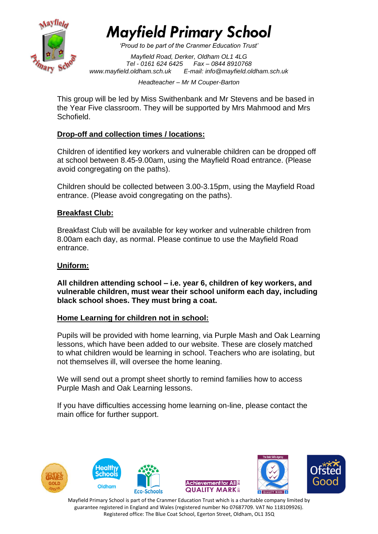

*'Proud to be part of the Cranmer Education Trust'*

*Mayfield Road, Derker, Oldham OL1 4LG Tel - 0161 624 6425 Fax – 0844 8910768 [www.mayfield.oldham.sch.uk](http://www.mayfield.oldham.sch.uk/) E-mail: [info@mayfield.oldham.sch.uk](mailto:info@mayfield.oldham.sch.uk)*

*Headteacher – Mr M Couper-Barton* 

This group will be led by Miss Swithenbank and Mr Stevens and be based in the Year Five classroom. They will be supported by Mrs Mahmood and Mrs Schofield.

## **Drop-off and collection times / locations:**

Children of identified key workers and vulnerable children can be dropped off at school between 8.45-9.00am, using the Mayfield Road entrance. (Please avoid congregating on the paths).

Children should be collected between 3.00-3.15pm, using the Mayfield Road entrance. (Please avoid congregating on the paths).

## **Breakfast Club:**

Breakfast Club will be available for key worker and vulnerable children from 8.00am each day, as normal. Please continue to use the Mayfield Road entrance.

#### **Uniform:**

**All children attending school – i.e. year 6, children of key workers, and vulnerable children, must wear their school uniform each day, including black school shoes. They must bring a coat.**

#### **Home Learning for children not in school:**

Pupils will be provided with home learning, via Purple Mash and Oak Learning lessons, which have been added to our website. These are closely matched to what children would be learning in school. Teachers who are isolating, but not themselves ill, will oversee the home leaning.

We will send out a prompt sheet shortly to remind families how to access Purple Mash and Oak Learning lessons.

If you have difficulties accessing home learning on-line, please contact the main office for further support.

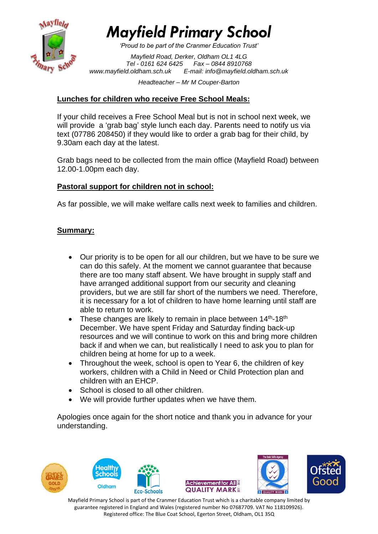

*'Proud to be part of the Cranmer Education Trust'*

*Mayfield Road, Derker, Oldham OL1 4LG Tel - 0161 624 6425 Fax – 0844 8910768 [www.mayfield.oldham.sch.uk](http://www.mayfield.oldham.sch.uk/) E-mail: [info@mayfield.oldham.sch.uk](mailto:info@mayfield.oldham.sch.uk)*

*Headteacher – Mr M Couper-Barton* 

## **Lunches for children who receive Free School Meals:**

If your child receives a Free School Meal but is not in school next week, we will provide a 'grab bag' style lunch each day. Parents need to notify us via text (07786 208450) if they would like to order a grab bag for their child, by 9.30am each day at the latest.

Grab bags need to be collected from the main office (Mayfield Road) between 12.00-1.00pm each day.

## **Pastoral support for children not in school:**

As far possible, we will make welfare calls next week to families and children.

## **Summary:**

- Our priority is to be open for all our children, but we have to be sure we can do this safely. At the moment we cannot guarantee that because there are too many staff absent. We have brought in supply staff and have arranged additional support from our security and cleaning providers, but we are still far short of the numbers we need. Therefore, it is necessary for a lot of children to have home learning until staff are able to return to work.
- These changes are likely to remain in place between  $14<sup>th</sup>$ -18<sup>th</sup> December. We have spent Friday and Saturday finding back-up resources and we will continue to work on this and bring more children back if and when we can, but realistically I need to ask you to plan for children being at home for up to a week.
- Throughout the week, school is open to Year 6, the children of key workers, children with a Child in Need or Child Protection plan and children with an EHCP.
- School is closed to all other children.
- We will provide further updates when we have them.

Apologies once again for the short notice and thank you in advance for your understanding.

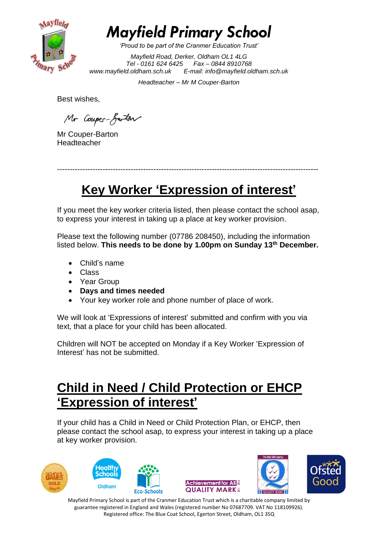

*'Proud to be part of the Cranmer Education Trust'*

*Mayfield Road, Derker, Oldham OL1 4LG Tel - 0161 624 6425 Fax – 0844 8910768 [www.mayfield.oldham.sch.uk](http://www.mayfield.oldham.sch.uk/) E-mail: [info@mayfield.oldham.sch.uk](mailto:info@mayfield.oldham.sch.uk)*

*Headteacher – Mr M Couper-Barton* 

Best wishes,

Mr Coupes-Garton

Mr Couper-Barton **Headteacher** 

-------------------------------------------------------------------------------------------------------

## **Key Worker 'Expression of interest'**

If you meet the key worker criteria listed, then please contact the school asap, to express your interest in taking up a place at key worker provision.

Please text the following number (07786 208450), including the information listed below. **This needs to be done by 1.00pm on Sunday 13th December.**

- Child's name
- Class
- Year Group
- **Days and times needed**
- Your key worker role and phone number of place of work.

We will look at 'Expressions of interest' submitted and confirm with you via text, that a place for your child has been allocated.

Children will NOT be accepted on Monday if a Key Worker 'Expression of Interest' has not be submitted.

## **Child in Need / Child Protection or EHCP 'Expression of interest'**

If your child has a Child in Need or Child Protection Plan, or EHCP, then please contact the school asap, to express your interest in taking up a place at key worker provision.







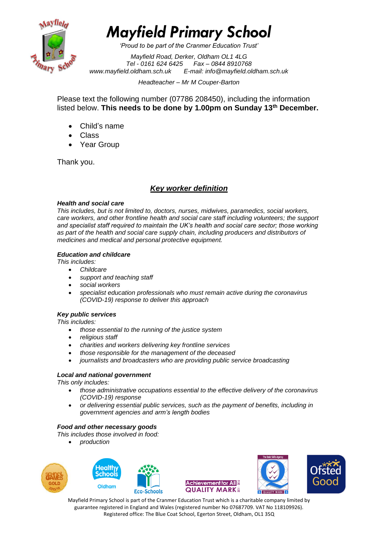

*'Proud to be part of the Cranmer Education Trust'*

*Mayfield Road, Derker, Oldham OL1 4LG Tel - 0161 624 6425 Fax – 0844 8910768 [www.mayfield.oldham.sch.uk](http://www.mayfield.oldham.sch.uk/) E-mail: [info@mayfield.oldham.sch.uk](mailto:info@mayfield.oldham.sch.uk)*

*Headteacher – Mr M Couper-Barton* 

Please text the following number (07786 208450), including the information listed below. **This needs to be done by 1.00pm on Sunday 13th December.**

- Child's name
- Class
- Year Group

Thank you.

## *Key worker definition*

#### *Health and social care*

*This includes, but is not limited to, doctors, nurses, midwives, paramedics, social workers, care workers, and other frontline health and social care staff including volunteers; the support and specialist staff required to maintain the UK's health and social care sector; those working*  as part of the health and social care supply chain, including producers and distributors of *medicines and medical and personal protective equipment.*

#### *Education and childcare*

*This includes:*

- *Childcare*
- *support and teaching staff*
- *social workers*
- *specialist education professionals who must remain active during the coronavirus (COVID-19) response to deliver this approach*

#### *Key public services*

*This includes:*

- *those essential to the running of the justice system*
- *religious staff*
- *charities and workers delivering key frontline services*
- *those responsible for the management of the deceased*
- *journalists and broadcasters who are providing public service broadcasting*

#### *Local and national government*

*This only includes:*

- *those administrative occupations essential to the effective delivery of the coronavirus (COVID-19) response*
- *or delivering essential public services, such as the payment of benefits, including in government agencies and arm's length bodies*

#### *Food and other necessary goods*

*This includes those involved in food:*

• *production*